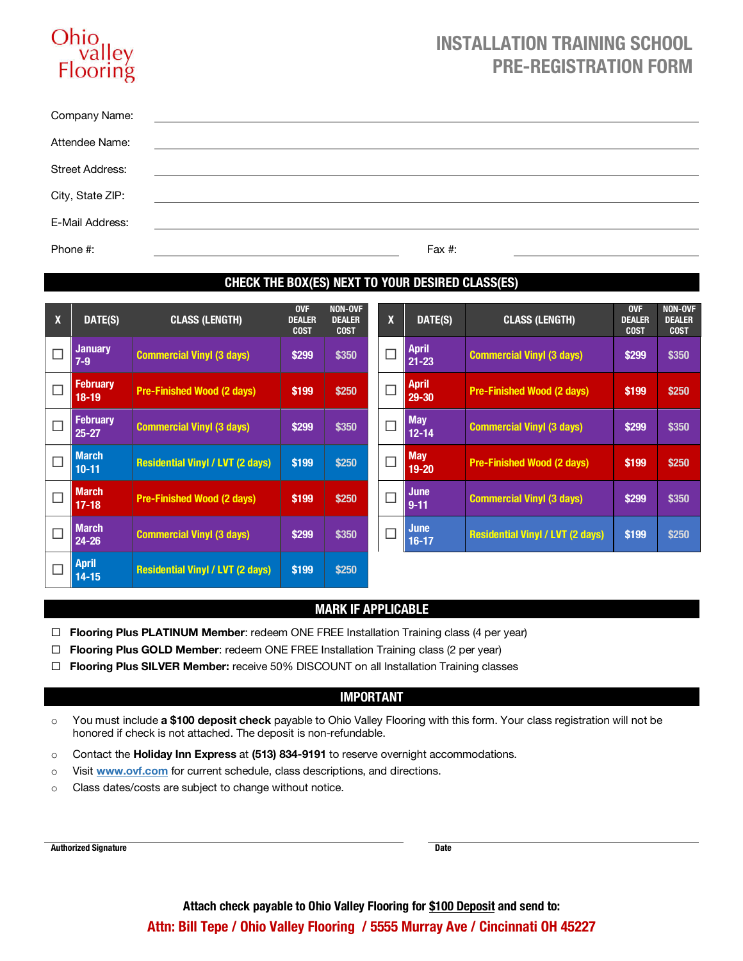# Ohi Flooring

## **INSTALLATION TRAINING SCHOOL PRE-REGISTRATION FORM**

| Company Name:          | <u> 1989 - Jan Samuel Barbara, martin da shekara tsara 1989 - Andrea Samuel Barbara, mashrida a shekara tsara 19</u> |
|------------------------|----------------------------------------------------------------------------------------------------------------------|
| Attendee Name:         | <u> 1989 - John Stein, Amerikaansk politiker (* 1958)</u>                                                            |
| <b>Street Address:</b> |                                                                                                                      |
| City, State ZIP:       |                                                                                                                      |
| E-Mail Address:        |                                                                                                                      |
| Phone #:               | Fax $#$ :                                                                                                            |

## **CHECK THE BOX(ES) NEXT TO YOUR DESIRED CLASS(ES)**

| $\mathbf{x}$ | DATE(S)                      | <b>CLASS (LENGTH)</b>                   | <b>OVF</b><br><b>DEALER</b><br><b>COST</b> | <b>NON-OVF</b><br><b>DEALER</b><br><b>COST</b> | X      | DATE(S)                   | <b>CLASS (LENGTH)</b>                   | <b>OVF</b><br><b>DEALER</b><br><b>COST</b> | <b>NON-OVF</b><br><b>DEALER</b><br><b>COST</b> |
|--------------|------------------------------|-----------------------------------------|--------------------------------------------|------------------------------------------------|--------|---------------------------|-----------------------------------------|--------------------------------------------|------------------------------------------------|
| г            | <b>January</b><br>$7-9$      | <b>Commercial Vinyl (3 days)</b>        | \$299                                      | \$350                                          | $\Box$ | <b>April</b><br>$21 - 23$ | <b>Commercial Vinyl (3 days)</b>        | \$299                                      | \$350                                          |
| $\Box$       | <b>February</b><br>$18-19$   | <b>Pre-Finished Wood (2 days)</b>       | \$199                                      | \$250                                          | $\Box$ | <b>April</b><br>29-30     | <b>Pre-Finished Wood (2 days)</b>       | \$199                                      | \$250                                          |
| $\Box$       | <b>February</b><br>$25 - 27$ | <b>Commercial Vinyl (3 days)</b>        | \$299                                      | \$350                                          | $\Box$ | <b>May</b><br>$12 - 14$   | <b>Commercial Vinyl (3 days)</b>        | \$299                                      | \$350                                          |
| П            | <b>March</b><br>$10 - 11$    | <b>Residential Vinyl / LVT (2 days)</b> | \$199                                      | \$250                                          | $\Box$ | <b>May</b><br>$19 - 20$   | <b>Pre-Finished Wood (2 days)</b>       | \$199                                      | \$250                                          |
| $\Box$       | <b>March</b><br>$17 - 18$    | <b>Pre-Finished Wood (2 days)</b>       | \$199                                      | \$250                                          | $\Box$ | <b>June</b><br>$9 - 11$   | <b>Commercial Vinyl (3 days)</b>        | \$299                                      | \$350                                          |
| $\Box$       | <b>March</b><br>$24 - 26$    | <b>Commercial Vinyl (3 days)</b>        | \$299                                      | \$350                                          | $\Box$ | <b>June</b><br>$16 - 17$  | <b>Residential Vinyl / LVT (2 days)</b> | \$199                                      | \$250                                          |
|              | <b>April</b><br>$14 - 15$    | <b>Residential Vinyl / LVT (2 days)</b> | \$199                                      | \$250                                          |        |                           |                                         |                                            |                                                |

#### **MARK IF APPLICABLE**

- □ **Flooring Plus PLATINUM Member**: redeem ONE FREE Installation Training class (4 per year)
- □ **Flooring Plus GOLD Member**: redeem ONE FREE Installation Training class (2 per year)
- ¨ **Flooring Plus SILVER Member:** receive 50% DISCOUNT on all Installation Training classes

#### **IMPORTANT**

- o You must include **a \$100 deposit check** payable to Ohio Valley Flooring with this form. Your class registration will not be honored if check is not attached. The deposit is non-refundable.
- o Contact the **Holiday Inn Express** at **(513) 834-9191** to reserve overnight accommodations.
- o Visit **www.ovf.com** for current schedule, class descriptions, and directions.
- o Class dates/costs are subject to change without notice.

**Authorized Signature Date**

**Attach check payable to Ohio Valley Flooring for \$100 Deposit and send to: Attn: Bill Tepe / Ohio Valley Flooring / 5555 Murray Ave / Cincinnati OH 45227**